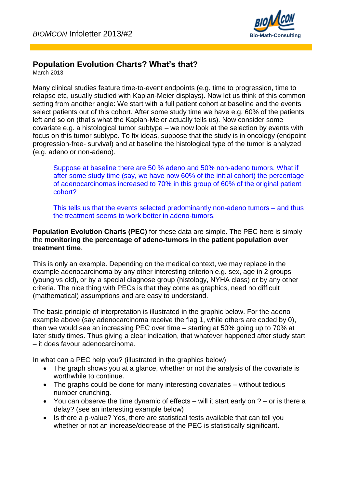

## **Population Evolution Charts? What's that?**

March 2013

Many clinical studies feature time-to-event endpoints (e.g. time to progression, time to relapse etc, usually studied with Kaplan-Meier displays). Now let us think of this common setting from another angle: We start with a full patient cohort at baseline and the events select patients out of this cohort. After some study time we have e.g. 60% of the patients left and so on (that's what the Kaplan-Meier actually tells us). Now consider some covariate e.g. a histological tumor subtype – we now look at the selection by events with focus on this tumor subtype. To fix ideas, suppose that the study is in oncology (endpoint progression-free- survival) and at baseline the histological type of the tumor is analyzed (e.g. adeno or non-adeno).

Suppose at baseline there are 50 % adeno and 50% non-adeno tumors. What if after some study time (say, we have now 60% of the initial cohort) the percentage of adenocarcinomas increased to 70% in this group of 60% of the original patient cohort?

This tells us that the events selected predominantly non-adeno tumors – and thus the treatment seems to work better in adeno-tumors.

## **Population Evolution Charts (PEC)** for these data are simple. The PEC here is simply the **monitoring the percentage of adeno-tumors in the patient population over treatment time**.

This is only an example. Depending on the medical context, we may replace in the example adenocarcinoma by any other interesting criterion e.g. sex, age in 2 groups (young vs old), or by a special diagnose group (histology, NYHA class) or by any other criteria. The nice thing with PECs is that they come as graphics, need no difficult (mathematical) assumptions and are easy to understand.

The basic principle of interpretation is illustrated in the graphic below. For the adeno example above (say adenocarcinoma receive the flag 1, while others are coded by 0), then we would see an increasing PEC over time – starting at 50% going up to 70% at later study times. Thus giving a clear indication, that whatever happened after study start – it does favour adenocarcinoma.

In what can a PEC help you? (illustrated in the graphics below)

- The graph shows you at a glance, whether or not the analysis of the covariate is worthwhile to continue.
- The graphs could be done for many interesting covariates without tedious number crunching.
- You can observe the time dynamic of effects  $-$  will it start early on  $? -$  or is there a delay? (see an interesting example below)
- Is there a p-value? Yes, there are statistical tests available that can tell you whether or not an increase/decrease of the PEC is statistically significant.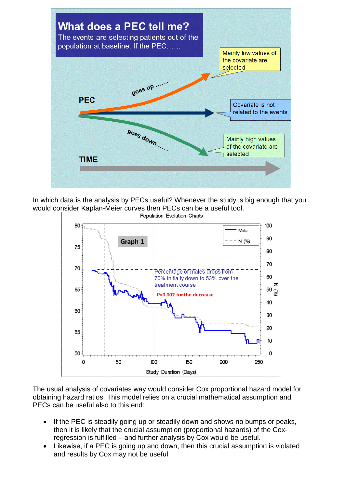

In which data is the analysis by PECs useful? Whenever the study is big enough that you would consider Kaplan-Meier curves then PECs can be a useful tool.



The usual analysis of covariates way would consider Cox proportional hazard model for obtaining hazard ratios. This model relies on a crucial mathematical assumption and PECs can be useful also to this end:

- If the PEC is steadily going up or steadily down and shows no bumps or peaks, then it is likely that the crucial assumption (proportional hazards) of the Coxregression is fulfilled – and further analysis by Cox would be useful.
- Likewise, if a PEC is going up and down, then this crucial assumption is violated and results by Cox may not be useful.

Population Evolution Charts